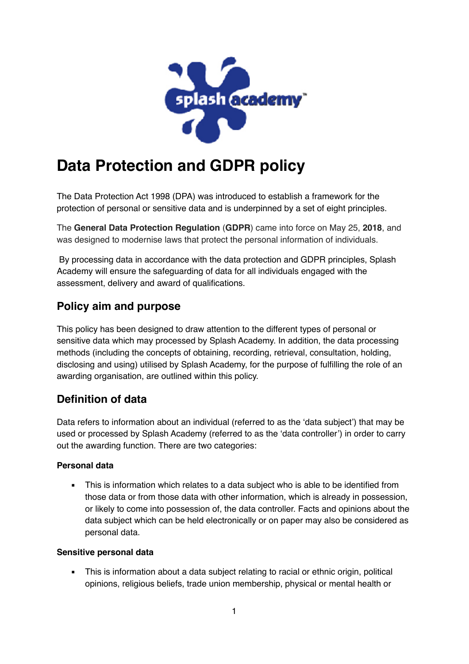

# **Data Protection and GDPR policy**

The Data Protection Act 1998 (DPA) was introduced to establish a framework for the protection of personal or sensitive data and is underpinned by a set of eight principles.

The **General Data Protection Regulation** (**GDPR**) came into force on May 25, **2018**, and was designed to modernise laws that protect the personal information of individuals.

 By processing data in accordance with the data protection and GDPR principles, Splash Academy will ensure the safeguarding of data for all individuals engaged with the assessment, delivery and award of qualifications.

## **Policy aim and purpose**

This policy has been designed to draw attention to the different types of personal or sensitive data which may processed by Splash Academy. In addition, the data processing methods (including the concepts of obtaining, recording, retrieval, consultation, holding, disclosing and using) utilised by Splash Academy, for the purpose of fulfilling the role of an awarding organisation, are outlined within this policy.

# **Definition of data**

Data refers to information about an individual (referred to as the 'data subject') that may be used or processed by Splash Academy (referred to as the 'data controller') in order to carry out the awarding function. There are two categories:

#### **Personal data**

**.** This is information which relates to a data subject who is able to be identified from those data or from those data with other information, which is already in possession, or likely to come into possession of, the data controller. Facts and opinions about the data subject which can be held electronically or on paper may also be considered as personal data.

#### **Sensitive personal data**

• This is information about a data subject relating to racial or ethnic origin, political opinions, religious beliefs, trade union membership, physical or mental health or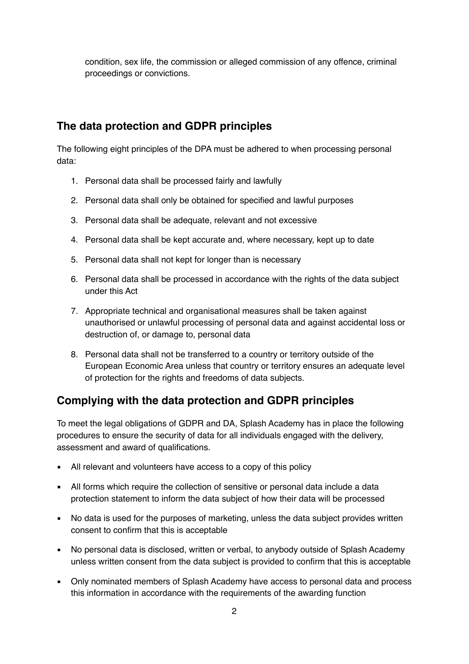condition, sex life, the commission or alleged commission of any offence, criminal proceedings or convictions.

# **The data protection and GDPR principles**

The following eight principles of the DPA must be adhered to when processing personal data:

- 1. Personal data shall be processed fairly and lawfully
- 2. Personal data shall only be obtained for specified and lawful purposes
- 3. Personal data shall be adequate, relevant and not excessive
- 4. Personal data shall be kept accurate and, where necessary, kept up to date
- 5. Personal data shall not kept for longer than is necessary
- 6. Personal data shall be processed in accordance with the rights of the data subject under this Act
- 7. Appropriate technical and organisational measures shall be taken against unauthorised or unlawful processing of personal data and against accidental loss or destruction of, or damage to, personal data
- 8. Personal data shall not be transferred to a country or territory outside of the European Economic Area unless that country or territory ensures an adequate level of protection for the rights and freedoms of data subjects.

### **Complying with the data protection and GDPR principles**

To meet the legal obligations of GDPR and DA, Splash Academy has in place the following procedures to ensure the security of data for all individuals engaged with the delivery, assessment and award of qualifications.

- All relevant and volunteers have access to a copy of this policy
- All forms which require the collection of sensitive or personal data include a data protection statement to inform the data subject of how their data will be processed
- No data is used for the purposes of marketing, unless the data subject provides written consent to confirm that this is acceptable
- No personal data is disclosed, written or verbal, to anybody outside of Splash Academy unless written consent from the data subject is provided to confirm that this is acceptable
- Only nominated members of Splash Academy have access to personal data and process this information in accordance with the requirements of the awarding function